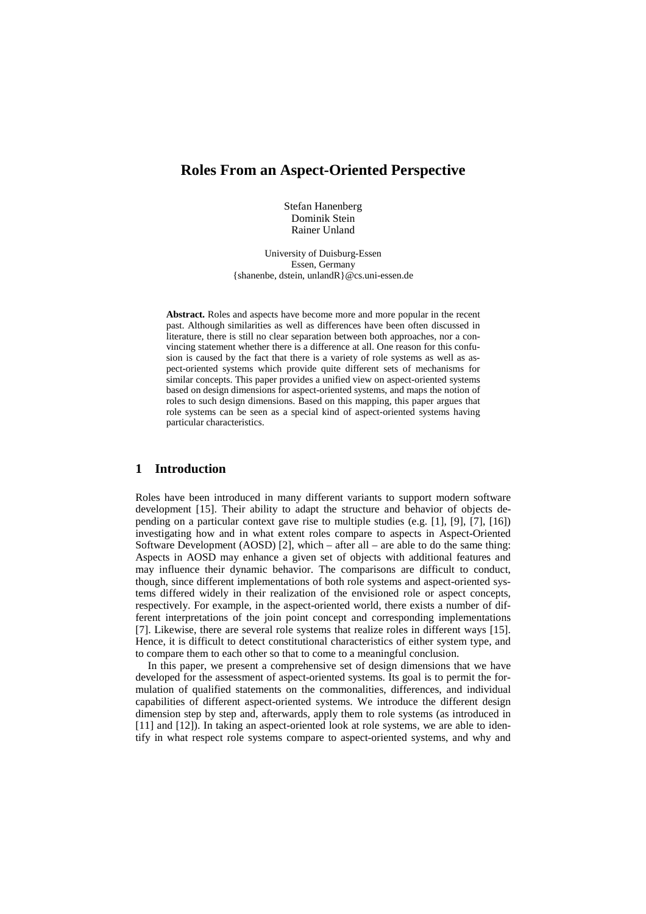# **Roles From an Aspect-Oriented Perspective**

Stefan Hanenberg Dominik Stein Rainer Unland

University of Duisburg-Essen Essen, Germany {shanenbe, dstein, unlandR}@cs.uni-essen.de

**Abstract.** Roles and aspects have become more and more popular in the recent past. Although similarities as well as differences have been often discussed in literature, there is still no clear separation between both approaches, nor a convincing statement whether there is a difference at all. One reason for this confusion is caused by the fact that there is a variety of role systems as well as aspect-oriented systems which provide quite different sets of mechanisms for similar concepts. This paper provides a unified view on aspect-oriented systems based on design dimensions for aspect-oriented systems, and maps the notion of roles to such design dimensions. Based on this mapping, this paper argues that role systems can be seen as a special kind of aspect-oriented systems having particular characteristics.

## **1 Introduction**

Roles have been introduced in many different variants to support modern software development [15]. Their ability to adapt the structure and behavior of objects depending on a particular context gave rise to multiple studies (e.g. [1], [9], [7], [16]) investigating how and in what extent roles compare to aspects in Aspect-Oriented Software Development (AOSD) [2], which – after all – are able to do the same thing: Aspects in AOSD may enhance a given set of objects with additional features and may influence their dynamic behavior. The comparisons are difficult to conduct, though, since different implementations of both role systems and aspect-oriented systems differed widely in their realization of the envisioned role or aspect concepts, respectively. For example, in the aspect-oriented world, there exists a number of different interpretations of the join point concept and corresponding implementations [7]. Likewise, there are several role systems that realize roles in different ways [15]. Hence, it is difficult to detect constitutional characteristics of either system type, and to compare them to each other so that to come to a meaningful conclusion.

In this paper, we present a comprehensive set of design dimensions that we have developed for the assessment of aspect-oriented systems. Its goal is to permit the formulation of qualified statements on the commonalities, differences, and individual capabilities of different aspect-oriented systems. We introduce the different design dimension step by step and, afterwards, apply them to role systems (as introduced in [11] and [12]). In taking an aspect-oriented look at role systems, we are able to identify in what respect role systems compare to aspect-oriented systems, and why and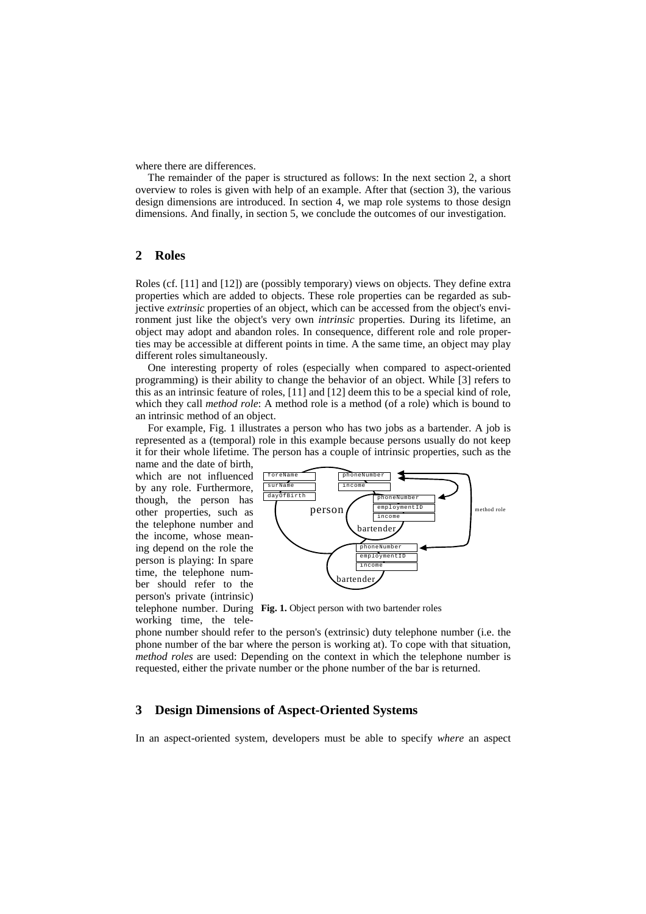where there are differences.

The remainder of the paper is structured as follows: In the next section 2, a short overview to roles is given with help of an example. After that (section 3), the various design dimensions are introduced. In section 4, we map role systems to those design dimensions. And finally, in section 5, we conclude the outcomes of our investigation.

## **2 Roles**

Roles (cf. [11] and [12]) are (possibly temporary) views on objects. They define extra properties which are added to objects. These role properties can be regarded as subjective *extrinsic* properties of an object, which can be accessed from the object's environment just like the object's very own *intrinsic* properties. During its lifetime, an object may adopt and abandon roles. In consequence, different role and role properties may be accessible at different points in time. A the same time, an object may play different roles simultaneously.

One interesting property of roles (especially when compared to aspect-oriented programming) is their ability to change the behavior of an object. While [3] refers to this as an intrinsic feature of roles, [11] and [12] deem this to be a special kind of role, which they call *method role*: A method role is a method (of a role) which is bound to an intrinsic method of an object.

For example, Fig. 1 illustrates a person who has two jobs as a bartender. A job is represented as a (temporal) role in this example because persons usually do not keep it for their whole lifetime. The person has a couple of intrinsic properties, such as the

name and the date of birth, which are not influenced by any role. Furthermore, though, the person has other properties, such as the telephone number and the income, whose meaning depend on the role the person is playing: In spare time, the telephone number should refer to the person's private (intrinsic)

working time, the tele-



telephone number. During **Fig. 1.** Object person with two bartender roles

phone number should refer to the person's (extrinsic) duty telephone number (i.e. the phone number of the bar where the person is working at). To cope with that situation, *method roles* are used: Depending on the context in which the telephone number is requested, either the private number or the phone number of the bar is returned.

# **3 Design Dimensions of Aspect-Oriented Systems**

In an aspect-oriented system, developers must be able to specify *where* an aspect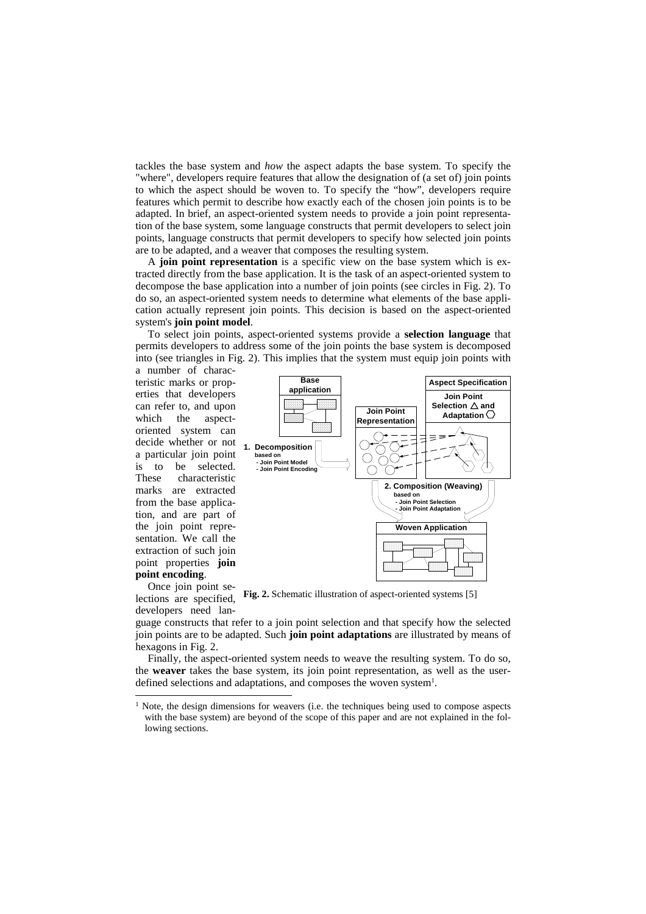tackles the base system and *how* the aspect adapts the base system. To specify the "where", developers require features that allow the designation of (a set of) join points to which the aspect should be woven to. To specify the "how", developers require features which permit to describe how exactly each of the chosen join points is to be adapted. In brief, an aspect-oriented system needs to provide a join point representation of the base system, some language constructs that permit developers to select join points, language constructs that permit developers to specify how selected join points are to be adapted, and a weaver that composes the resulting system.

A **join point representation** is a specific view on the base system which is extracted directly from the base application. It is the task of an aspect-oriented system to decompose the base application into a number of join points (see circles in Fig. 2). To do so, an aspect-oriented system needs to determine what elements of the base application actually represent join points. This decision is based on the aspect-oriented system's **join point model**.

To select join points, aspect-oriented systems provide a **selection language** that permits developers to address some of the join points the base system is decomposed into (see triangles in Fig. 2). This implies that the system must equip join points with

a number of characteristic marks or properties that developers can refer to, and upon which the aspectoriented system can decide whether or not a particular join point is to be selected. These characteristic marks are extracted from the base application, and are part of the join point representation. We call the extraction of such join point properties **join point encoding**.



Once join point selections are specified, developers need lan-

l

**Fig. 2.** Schematic illustration of aspect-oriented systems [5]

guage constructs that refer to a join point selection and that specify how the selected join points are to be adapted. Such **join point adaptations** are illustrated by means of hexagons in Fig. 2.

Finally, the aspect-oriented system needs to weave the resulting system. To do so, the **weaver** takes the base system, its join point representation, as well as the userdefined selections and adaptations, and composes the woven system<sup>1</sup>.

<sup>&</sup>lt;sup>1</sup> Note, the design dimensions for weavers (i.e. the techniques being used to compose aspects with the base system) are beyond of the scope of this paper and are not explained in the following sections.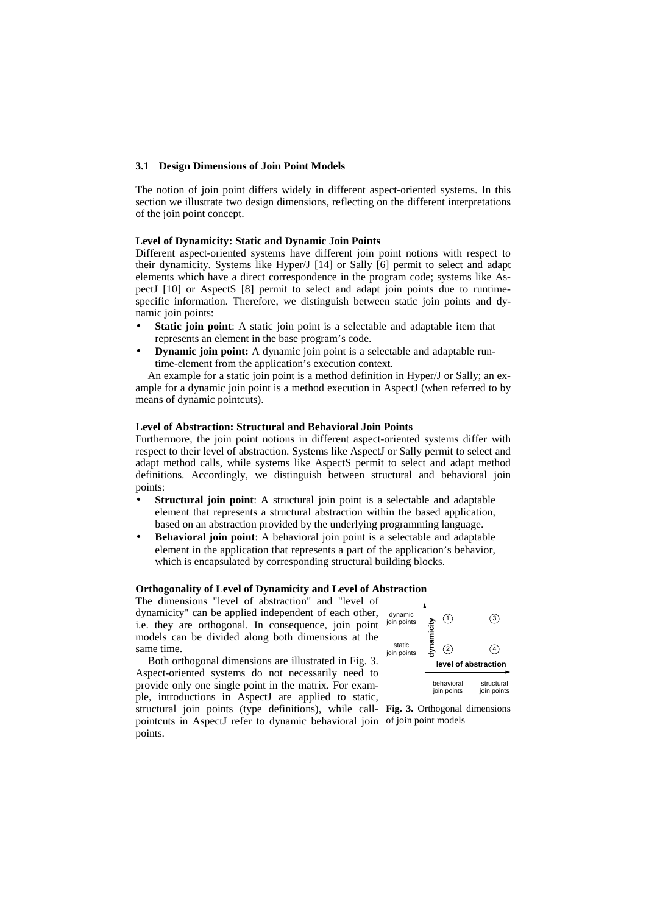### **3.1 Design Dimensions of Join Point Models**

The notion of join point differs widely in different aspect-oriented systems. In this section we illustrate two design dimensions, reflecting on the different interpretations of the join point concept.

#### **Level of Dynamicity: Static and Dynamic Join Points**

Different aspect-oriented systems have different join point notions with respect to their dynamicity. Systems like Hyper/J [14] or Sally [6] permit to select and adapt elements which have a direct correspondence in the program code; systems like AspectJ [10] or AspectS [8] permit to select and adapt join points due to runtimespecific information. Therefore, we distinguish between static join points and dynamic join points:

- **Static join point:** A static join point is a selectable and adaptable item that represents an element in the base program's code.
- **Dynamic join point:** A dynamic join point is a selectable and adaptable runtime-element from the application's execution context.

An example for a static join point is a method definition in Hyper/J or Sally; an example for a dynamic join point is a method execution in AspectJ (when referred to by means of dynamic pointcuts).

#### **Level of Abstraction: Structural and Behavioral Join Points**

Furthermore, the join point notions in different aspect-oriented systems differ with respect to their level of abstraction. Systems like AspectJ or Sally permit to select and adapt method calls, while systems like AspectS permit to select and adapt method definitions. Accordingly, we distinguish between structural and behavioral join points:

- **Structural join point:** A structural join point is a selectable and adaptable element that represents a structural abstraction within the based application, based on an abstraction provided by the underlying programming language.
- **Behavioral join point**: A behavioral join point is a selectable and adaptable element in the application that represents a part of the application's behavior, which is encapsulated by corresponding structural building blocks.

## **Orthogonality of Level of Dynamicity and Level of Abstraction**

The dimensions "level of abstraction" and "level of dynamicity" can be applied independent of each other, i.e. they are orthogonal. In consequence, join point models can be divided along both dimensions at the same time.

Both orthogonal dimensions are illustrated in Fig. 3. Aspect-oriented systems do not necessarily need to provide only one single point in the matrix. For example, introductions in AspectJ are applied to static, structural join points (type definitions), while call-**Fig. 3.** Orthogonal dimensions pointcuts in AspectJ refer to dynamic behavioral join of join point modelspoints.

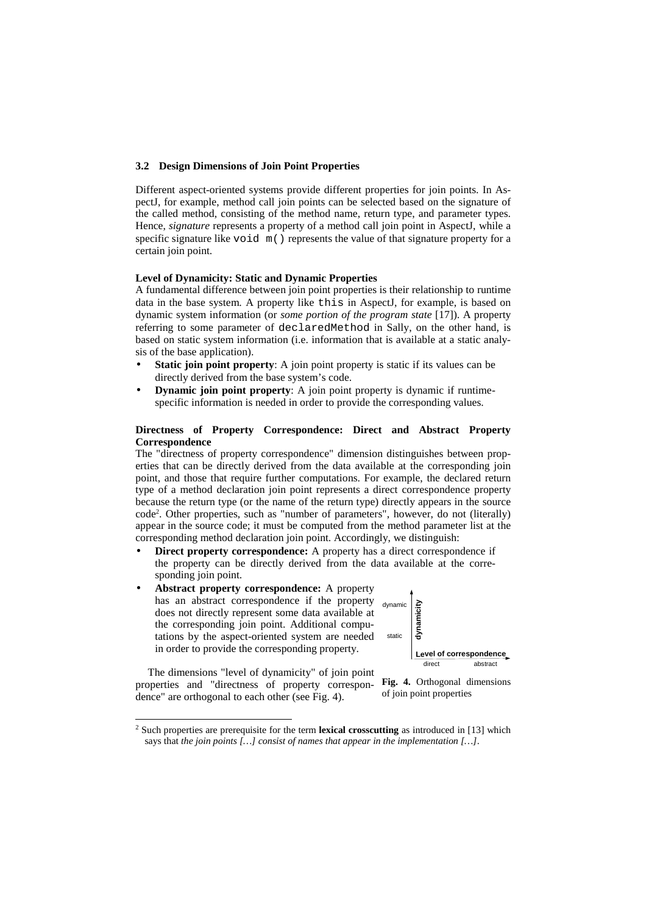### **3.2 Design Dimensions of Join Point Properties**

Different aspect-oriented systems provide different properties for join points. In AspectJ, for example, method call join points can be selected based on the signature of the called method, consisting of the method name, return type, and parameter types. Hence, *signature* represents a property of a method call join point in AspectJ, while a specific signature like void  $m()$  represents the value of that signature property for a certain join point.

## **Level of Dynamicity: Static and Dynamic Properties**

A fundamental difference between join point properties is their relationship to runtime data in the base system. A property like this in AspectJ, for example, is based on dynamic system information (or *some portion of the program state* [17]). A property referring to some parameter of declaredMethod in Sally, on the other hand, is based on static system information (i.e. information that is available at a static analysis of the base application).

- **Static join point property:** A join point property is static if its values can be directly derived from the base system's code.
- **Dynamic join point property:** A join point property is dynamic if runtimespecific information is needed in order to provide the corresponding values.

### **Directness of Property Correspondence: Direct and Abstract Property Correspondence**

The "directness of property correspondence" dimension distinguishes between properties that can be directly derived from the data available at the corresponding join point, and those that require further computations. For example, the declared return type of a method declaration join point represents a direct correspondence property because the return type (or the name of the return type) directly appears in the source code<sup>2</sup> . Other properties, such as "number of parameters", however, do not (literally) appear in the source code; it must be computed from the method parameter list at the corresponding method declaration join point. Accordingly, we distinguish:

- **Direct property correspondence:** A property has a direct correspondence if the property can be directly derived from the data available at the corresponding join point.
- **Abstract property correspondence:** A property has an abstract correspondence if the property does not directly represent some data available at the corresponding join point. Additional computations by the aspect-oriented system are needed in order to provide the corresponding property.

dynamic static **dynamicity Level of correspondence** direct abstract

The dimensions "level of dynamicity" of join point properties and "directness of property correspondence" are orthogonal to each other (see Fig. 4).

l



<sup>2</sup> Such properties are prerequisite for the term **lexical crosscutting** as introduced in [13] which says that *the join points […] consist of names that appear in the implementation […]*.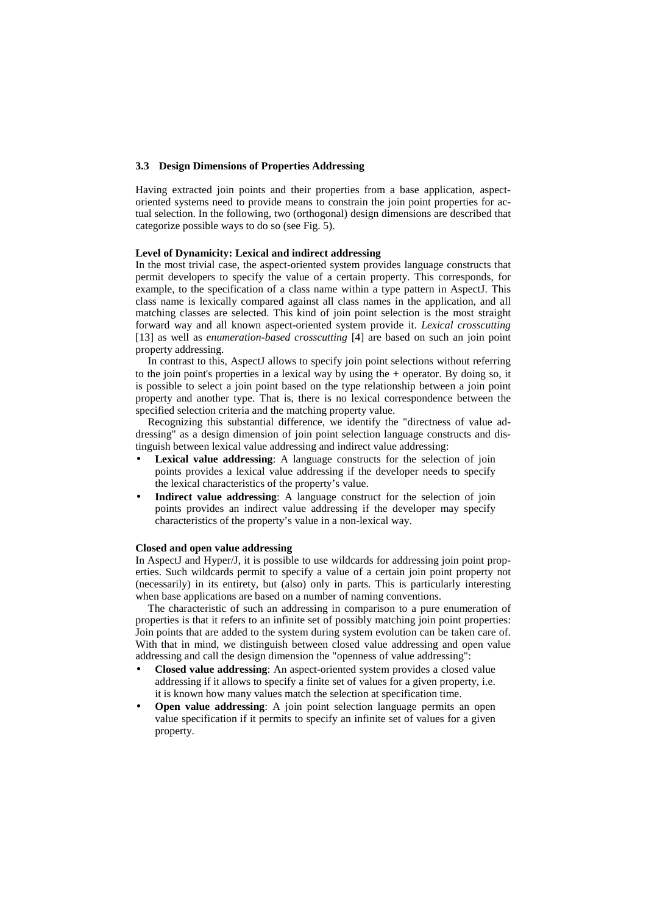### **3.3 Design Dimensions of Properties Addressing**

Having extracted join points and their properties from a base application, aspectoriented systems need to provide means to constrain the join point properties for actual selection. In the following, two (orthogonal) design dimensions are described that categorize possible ways to do so (see Fig. 5).

### **Level of Dynamicity: Lexical and indirect addressing**

In the most trivial case, the aspect-oriented system provides language constructs that permit developers to specify the value of a certain property. This corresponds, for example, to the specification of a class name within a type pattern in AspectJ. This class name is lexically compared against all class names in the application, and all matching classes are selected. This kind of join point selection is the most straight forward way and all known aspect-oriented system provide it. *Lexical crosscutting* [13] as well as *enumeration-based crosscutting* [4] are based on such an join point property addressing.

In contrast to this, AspectJ allows to specify join point selections without referring to the join point's properties in a lexical way by using the + operator. By doing so, it is possible to select a join point based on the type relationship between a join point property and another type. That is, there is no lexical correspondence between the specified selection criteria and the matching property value.

Recognizing this substantial difference, we identify the "directness of value addressing" as a design dimension of join point selection language constructs and distinguish between lexical value addressing and indirect value addressing:

- **Lexical value addressing**: A language constructs for the selection of join points provides a lexical value addressing if the developer needs to specify the lexical characteristics of the property's value.
- **Indirect value addressing**: A language construct for the selection of join points provides an indirect value addressing if the developer may specify characteristics of the property's value in a non-lexical way.

#### **Closed and open value addressing**

In AspectJ and Hyper/J, it is possible to use wildcards for addressing join point properties. Such wildcards permit to specify a value of a certain join point property not (necessarily) in its entirety, but (also) only in parts. This is particularly interesting when base applications are based on a number of naming conventions.

The characteristic of such an addressing in comparison to a pure enumeration of properties is that it refers to an infinite set of possibly matching join point properties: Join points that are added to the system during system evolution can be taken care of. With that in mind, we distinguish between closed value addressing and open value addressing and call the design dimension the "openness of value addressing":

- **Closed value addressing**: An aspect-oriented system provides a closed value addressing if it allows to specify a finite set of values for a given property, i.e. it is known how many values match the selection at specification time.
- **Open value addressing**: A join point selection language permits an open value specification if it permits to specify an infinite set of values for a given property.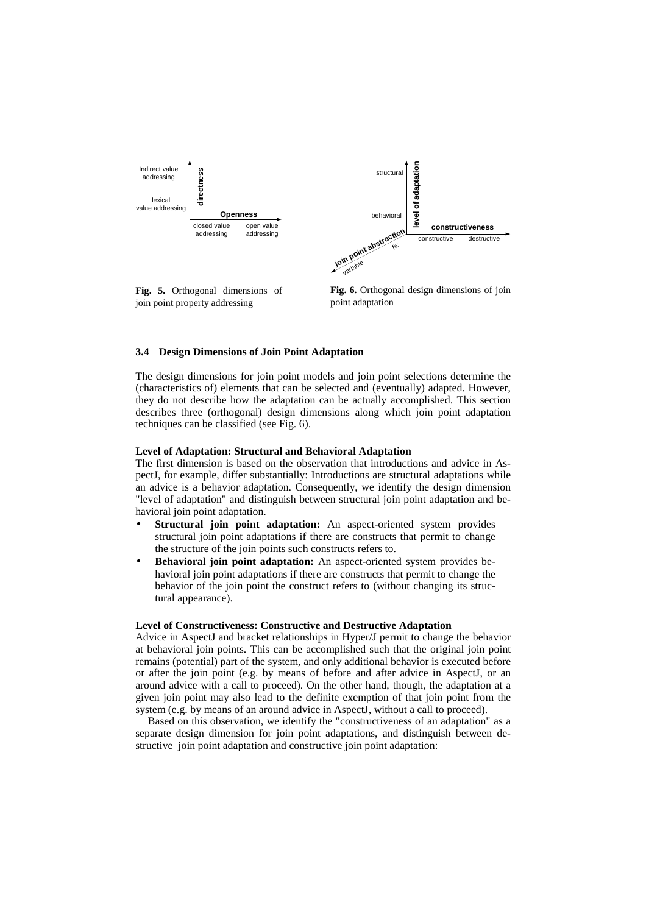

**Fig. 5.** Orthogonal dimensions of join point property addressing

**Fig. 6.** Orthogonal design dimensions of join point adaptation

## **3.4 Design Dimensions of Join Point Adaptation**

The design dimensions for join point models and join point selections determine the (characteristics of) elements that can be selected and (eventually) adapted. However, they do not describe how the adaptation can be actually accomplished. This section describes three (orthogonal) design dimensions along which join point adaptation techniques can be classified (see Fig. 6).

#### **Level of Adaptation: Structural and Behavioral Adaptation**

The first dimension is based on the observation that introductions and advice in AspectJ, for example, differ substantially: Introductions are structural adaptations while an advice is a behavior adaptation. Consequently, we identify the design dimension "level of adaptation" and distinguish between structural join point adaptation and behavioral join point adaptation.

- **Structural join point adaptation:** An aspect-oriented system provides structural join point adaptations if there are constructs that permit to change the structure of the join points such constructs refers to.
- **Behavioral join point adaptation:** An aspect-oriented system provides behavioral join point adaptations if there are constructs that permit to change the behavior of the join point the construct refers to (without changing its structural appearance).

#### **Level of Constructiveness: Constructive and Destructive Adaptation**

Advice in AspectJ and bracket relationships in Hyper/J permit to change the behavior at behavioral join points. This can be accomplished such that the original join point remains (potential) part of the system, and only additional behavior is executed before or after the join point (e.g. by means of before and after advice in AspectJ, or an around advice with a call to proceed). On the other hand, though, the adaptation at a given join point may also lead to the definite exemption of that join point from the system (e.g. by means of an around advice in AspectJ, without a call to proceed).

Based on this observation, we identify the "constructiveness of an adaptation" as a separate design dimension for join point adaptations, and distinguish between destructive join point adaptation and constructive join point adaptation: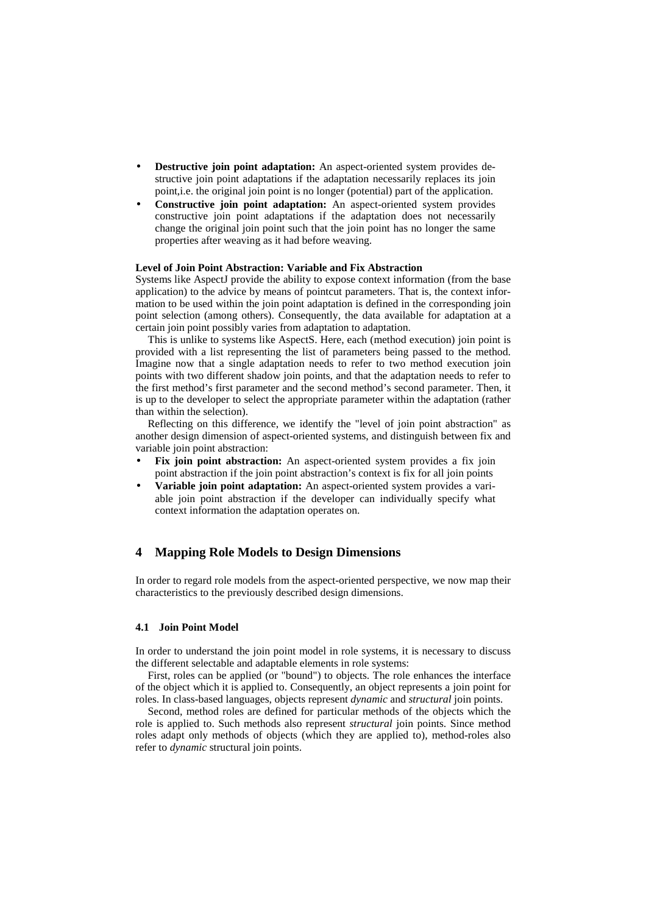- **Destructive join point adaptation:** An aspect-oriented system provides destructive join point adaptations if the adaptation necessarily replaces its join point,i.e. the original join point is no longer (potential) part of the application.
- **Constructive join point adaptation:** An aspect-oriented system provides constructive join point adaptations if the adaptation does not necessarily change the original join point such that the join point has no longer the same properties after weaving as it had before weaving.

### **Level of Join Point Abstraction: Variable and Fix Abstraction**

Systems like AspectJ provide the ability to expose context information (from the base application) to the advice by means of pointcut parameters. That is, the context information to be used within the join point adaptation is defined in the corresponding join point selection (among others). Consequently, the data available for adaptation at a certain join point possibly varies from adaptation to adaptation.

This is unlike to systems like AspectS. Here, each (method execution) join point is provided with a list representing the list of parameters being passed to the method. Imagine now that a single adaptation needs to refer to two method execution join points with two different shadow join points, and that the adaptation needs to refer to the first method's first parameter and the second method's second parameter. Then, it is up to the developer to select the appropriate parameter within the adaptation (rather than within the selection).

Reflecting on this difference, we identify the "level of join point abstraction" as another design dimension of aspect-oriented systems, and distinguish between fix and variable join point abstraction:

- Fix join point abstraction: An aspect-oriented system provides a fix join point abstraction if the join point abstraction's context is fix for all join points
- **Variable join point adaptation:** An aspect-oriented system provides a variable join point abstraction if the developer can individually specify what context information the adaptation operates on.

# **4 Mapping Role Models to Design Dimensions**

In order to regard role models from the aspect-oriented perspective, we now map their characteristics to the previously described design dimensions.

#### **4.1 Join Point Model**

In order to understand the join point model in role systems, it is necessary to discuss the different selectable and adaptable elements in role systems:

First, roles can be applied (or "bound") to objects. The role enhances the interface of the object which it is applied to. Consequently, an object represents a join point for roles. In class-based languages, objects represent *dynamic* and *structural* join points.

Second, method roles are defined for particular methods of the objects which the role is applied to. Such methods also represent *structural* join points. Since method roles adapt only methods of objects (which they are applied to), method-roles also refer to *dynamic* structural join points.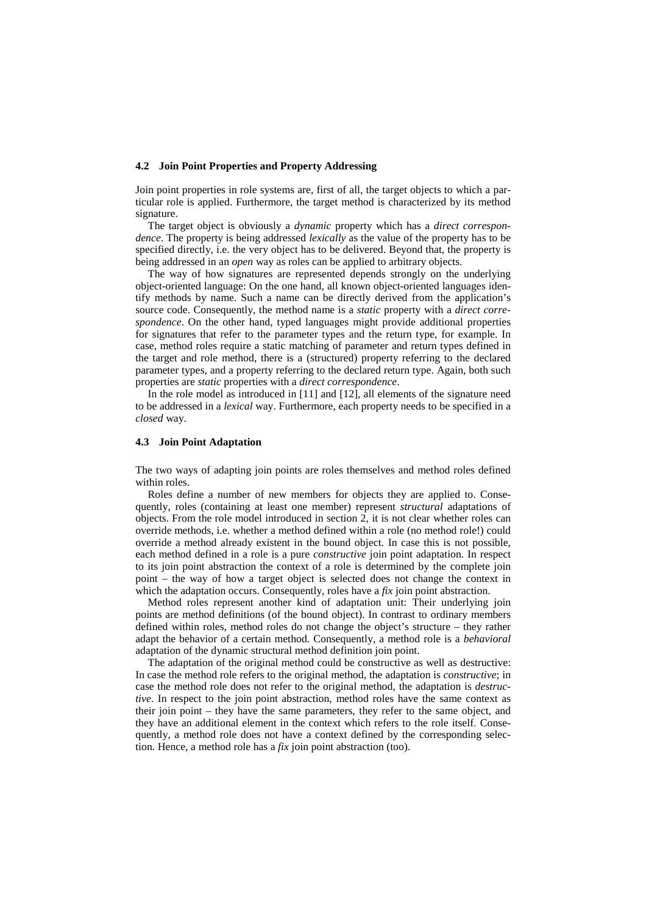#### **4.2 Join Point Properties and Property Addressing**

Join point properties in role systems are, first of all, the target objects to which a particular role is applied. Furthermore, the target method is characterized by its method signature.

The target object is obviously a *dynamic* property which has a *direct correspondence*. The property is being addressed *lexically* as the value of the property has to be specified directly, i.e. the very object has to be delivered. Beyond that, the property is being addressed in an *open* way as roles can be applied to arbitrary objects.

The way of how signatures are represented depends strongly on the underlying object-oriented language: On the one hand, all known object-oriented languages identify methods by name. Such a name can be directly derived from the application's source code. Consequently, the method name is a *static* property with a *direct correspondence*. On the other hand, typed languages might provide additional properties for signatures that refer to the parameter types and the return type, for example. In case, method roles require a static matching of parameter and return types defined in the target and role method, there is a (structured) property referring to the declared parameter types, and a property referring to the declared return type. Again, both such properties are *static* properties with a *direct correspondence*.

In the role model as introduced in [11] and [12], all elements of the signature need to be addressed in a *lexical* way. Furthermore, each property needs to be specified in a *closed* way.

### **4.3 Join Point Adaptation**

The two ways of adapting join points are roles themselves and method roles defined within roles.

Roles define a number of new members for objects they are applied to. Consequently, roles (containing at least one member) represent *structural* adaptations of objects. From the role model introduced in section 2, it is not clear whether roles can override methods, i.e. whether a method defined within a role (no method role!) could override a method already existent in the bound object. In case this is not possible, each method defined in a role is a pure *constructive* join point adaptation. In respect to its join point abstraction the context of a role is determined by the complete join point – the way of how a target object is selected does not change the context in which the adaptation occurs. Consequently, roles have a *fix* join point abstraction.

Method roles represent another kind of adaptation unit: Their underlying join points are method definitions (of the bound object). In contrast to ordinary members defined within roles, method roles do not change the object's structure – they rather adapt the behavior of a certain method. Consequently, a method role is a *behavioral* adaptation of the dynamic structural method definition join point.

The adaptation of the original method could be constructive as well as destructive: In case the method role refers to the original method, the adaptation is *constructive*; in case the method role does not refer to the original method, the adaptation is *destructive*. In respect to the join point abstraction, method roles have the same context as their join point – they have the same parameters, they refer to the same object, and they have an additional element in the context which refers to the role itself. Consequently, a method role does not have a context defined by the corresponding selection. Hence, a method role has a *fix* join point abstraction (too).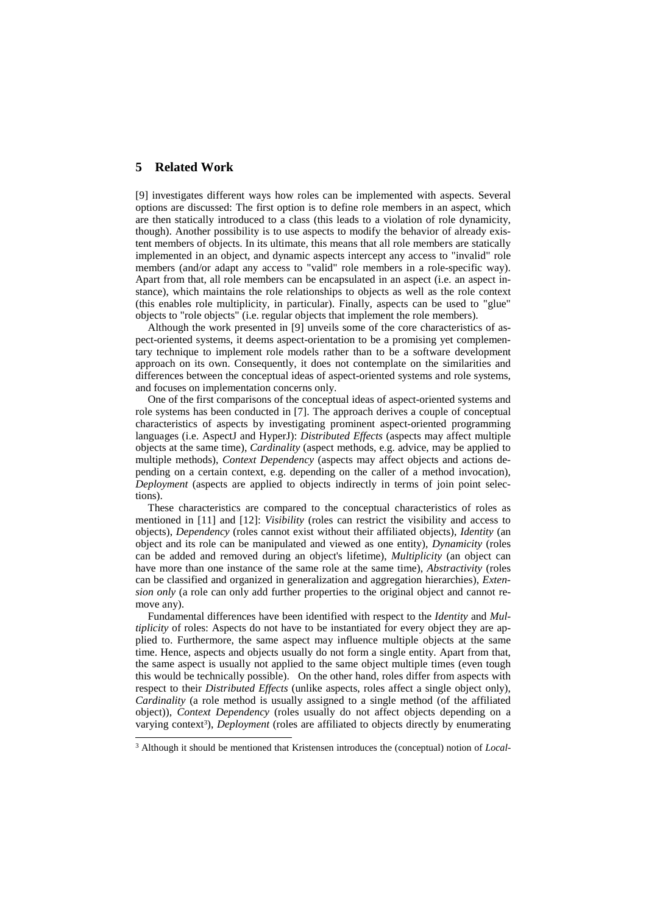## **5 Related Work**

-

[9] investigates different ways how roles can be implemented with aspects. Several options are discussed: The first option is to define role members in an aspect, which are then statically introduced to a class (this leads to a violation of role dynamicity, though). Another possibility is to use aspects to modify the behavior of already existent members of objects. In its ultimate, this means that all role members are statically implemented in an object, and dynamic aspects intercept any access to "invalid" role members (and/or adapt any access to "valid" role members in a role-specific way). Apart from that, all role members can be encapsulated in an aspect (i.e. an aspect instance), which maintains the role relationships to objects as well as the role context (this enables role multiplicity, in particular). Finally, aspects can be used to "glue" objects to "role objects" (i.e. regular objects that implement the role members).

Although the work presented in [9] unveils some of the core characteristics of aspect-oriented systems, it deems aspect-orientation to be a promising yet complementary technique to implement role models rather than to be a software development approach on its own. Consequently, it does not contemplate on the similarities and differences between the conceptual ideas of aspect-oriented systems and role systems, and focuses on implementation concerns only.

One of the first comparisons of the conceptual ideas of aspect-oriented systems and role systems has been conducted in [7]. The approach derives a couple of conceptual characteristics of aspects by investigating prominent aspect-oriented programming languages (i.e. AspectJ and HyperJ): *Distributed Effects* (aspects may affect multiple objects at the same time), *Cardinality* (aspect methods, e.g. advice, may be applied to multiple methods), *Context Dependency* (aspects may affect objects and actions depending on a certain context, e.g. depending on the caller of a method invocation), *Deployment* (aspects are applied to objects indirectly in terms of join point selections).

These characteristics are compared to the conceptual characteristics of roles as mentioned in [11] and [12]: *Visibility* (roles can restrict the visibility and access to objects), *Dependency* (roles cannot exist without their affiliated objects), *Identity* (an object and its role can be manipulated and viewed as one entity), *Dynamicity* (roles can be added and removed during an object's lifetime), *Multiplicity* (an object can have more than one instance of the same role at the same time), *Abstractivity* (roles can be classified and organized in generalization and aggregation hierarchies), *Extension only* (a role can only add further properties to the original object and cannot remove any).

Fundamental differences have been identified with respect to the *Identity* and *Multiplicity* of roles: Aspects do not have to be instantiated for every object they are applied to. Furthermore, the same aspect may influence multiple objects at the same time. Hence, aspects and objects usually do not form a single entity. Apart from that, the same aspect is usually not applied to the same object multiple times (even tough this would be technically possible). On the other hand, roles differ from aspects with respect to their *Distributed Effects* (unlike aspects, roles affect a single object only), *Cardinality* (a role method is usually assigned to a single method (of the affiliated object)), *Context Dependency* (roles usually do not affect objects depending on a varying context<sup>3</sup>), *Deployment* (roles are affiliated to objects directly by enumerating

<sup>3</sup> Although it should be mentioned that Kristensen introduces the (conceptual) notion of *Local-*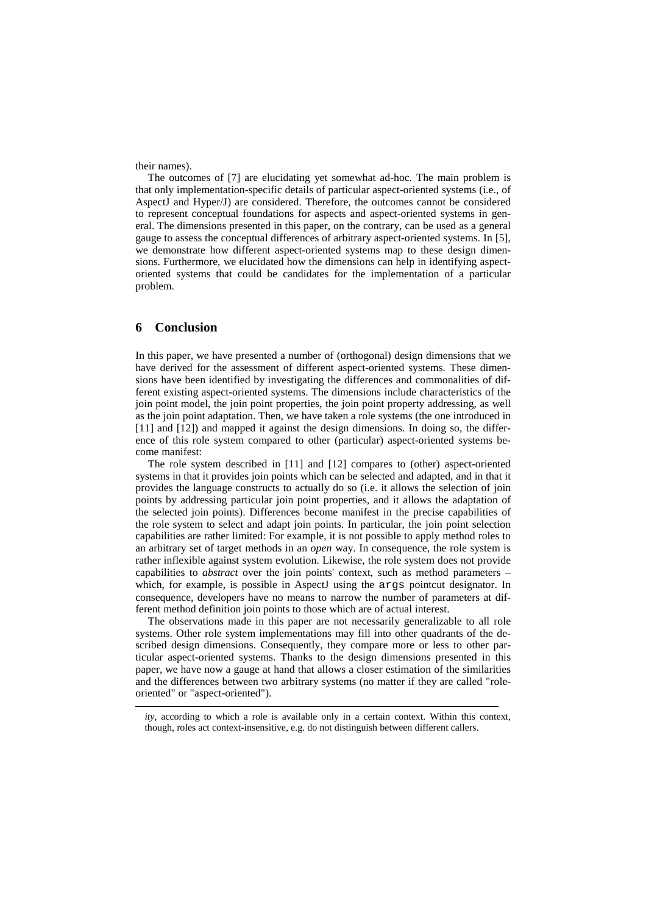their names).

The outcomes of [7] are elucidating yet somewhat ad-hoc. The main problem is that only implementation-specific details of particular aspect-oriented systems (i.e., of AspectJ and Hyper/J) are considered. Therefore, the outcomes cannot be considered to represent conceptual foundations for aspects and aspect-oriented systems in general. The dimensions presented in this paper, on the contrary, can be used as a general gauge to assess the conceptual differences of arbitrary aspect-oriented systems. In [5], we demonstrate how different aspect-oriented systems map to these design dimensions. Furthermore, we elucidated how the dimensions can help in identifying aspectoriented systems that could be candidates for the implementation of a particular problem.

# **6 Conclusion**

-

In this paper, we have presented a number of (orthogonal) design dimensions that we have derived for the assessment of different aspect-oriented systems. These dimensions have been identified by investigating the differences and commonalities of different existing aspect-oriented systems. The dimensions include characteristics of the join point model, the join point properties, the join point property addressing, as well as the join point adaptation. Then, we have taken a role systems (the one introduced in [11] and [12]) and mapped it against the design dimensions. In doing so, the difference of this role system compared to other (particular) aspect-oriented systems become manifest:

The role system described in [11] and [12] compares to (other) aspect-oriented systems in that it provides join points which can be selected and adapted, and in that it provides the language constructs to actually do so (i.e. it allows the selection of join points by addressing particular join point properties, and it allows the adaptation of the selected join points). Differences become manifest in the precise capabilities of the role system to select and adapt join points. In particular, the join point selection capabilities are rather limited: For example, it is not possible to apply method roles to an arbitrary set of target methods in an *open* way. In consequence, the role system is rather inflexible against system evolution. Likewise, the role system does not provide capabilities to *abstract* over the join points' context, such as method parameters – which, for example, is possible in AspectJ using the args pointcut designator. In consequence, developers have no means to narrow the number of parameters at different method definition join points to those which are of actual interest.

The observations made in this paper are not necessarily generalizable to all role systems. Other role system implementations may fill into other quadrants of the described design dimensions. Consequently, they compare more or less to other particular aspect-oriented systems. Thanks to the design dimensions presented in this paper, we have now a gauge at hand that allows a closer estimation of the similarities and the differences between two arbitrary systems (no matter if they are called "roleoriented" or "aspect-oriented").

*ity*, according to which a role is available only in a certain context. Within this context, though, roles act context-insensitive, e.g. do not distinguish between different callers.